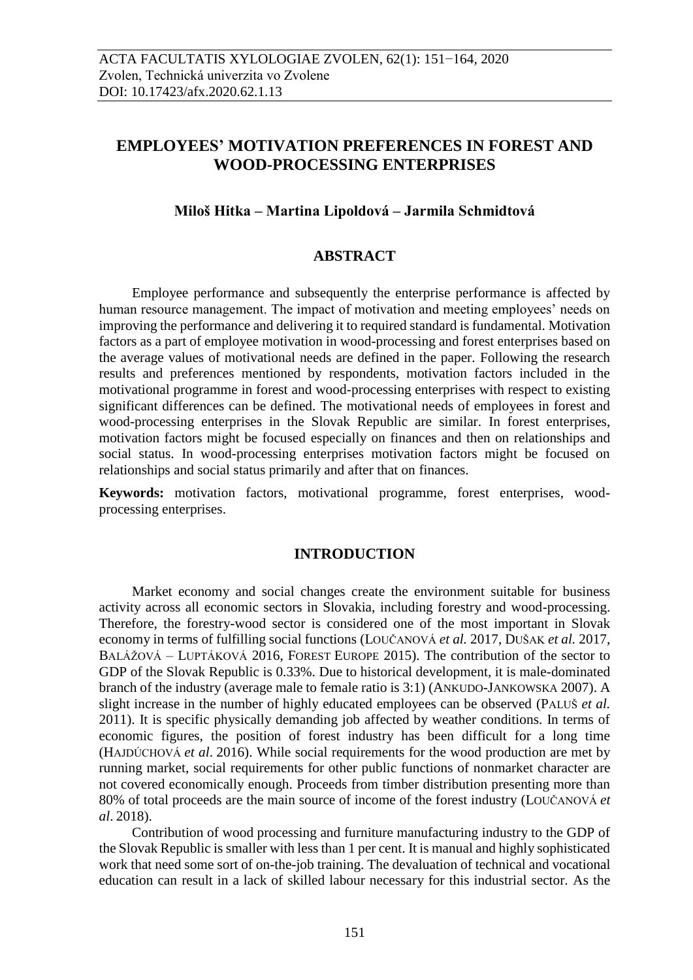# **EMPLOYEES' MOTIVATION PREFERENCES IN FOREST AND WOOD-PROCESSING ENTERPRISES**

### **Miloš Hitka – Martina Lipoldová – Jarmila Schmidtová**

#### **ABSTRACT**

Employee performance and subsequently the enterprise performance is affected by human resource management. The impact of motivation and meeting employees' needs on improving the performance and delivering it to required standard is fundamental. Motivation factors as a part of employee motivation in wood-processing and forest enterprises based on the average values of motivational needs are defined in the paper. Following the research results and preferences mentioned by respondents, motivation factors included in the motivational programme in forest and wood-processing enterprises with respect to existing significant differences can be defined. The motivational needs of employees in forest and wood-processing enterprises in the Slovak Republic are similar. In forest enterprises, motivation factors might be focused especially on finances and then on relationships and social status. In wood-processing enterprises motivation factors might be focused on relationships and social status primarily and after that on finances.

**Keywords:** motivation factors, motivational programme, forest enterprises, woodprocessing enterprises.

## **INTRODUCTION**

Market economy and social changes create the environment suitable for business activity across all economic sectors in Slovakia, including forestry and wood-processing. Therefore, the forestry-wood sector is considered one of the most important in Slovak economy in terms of fulfilling social functions (LOUČANOVÁ *et al.* 2017, DUŠAK *et al.* 2017, BALÁŽOVÁ – LUPTÁKOVÁ 2016, FOREST EUROPE 2015). The contribution of the sector to GDP of the Slovak Republic is 0.33%. Due to historical development, it is male-dominated branch of the industry (average male to female ratio is 3:1) (ANKUDO-JANKOWSKA 2007). A slight increase in the number of highly educated employees can be observed (PALUŠ *et al.* 2011). It is specific physically demanding job affected by weather conditions. In terms of economic figures, the position of forest industry has been difficult for a long time (HAJDÚCHOVÁ *et al*. 2016). While social requirements for the wood production are met by running market, social requirements for other public functions of nonmarket character are not covered economically enough. Proceeds from timber distribution presenting more than 80% of total proceeds are the main source of income of the forest industry (LOUČANOVÁ *et al*. 2018).

Contribution of wood processing and furniture manufacturing industry to the GDP of the Slovak Republic is smaller with less than 1 per cent. It is manual and highly sophisticated work that need some sort of on-the-job training. The devaluation of technical and vocational education can result in a lack of skilled labour necessary for this industrial sector. As the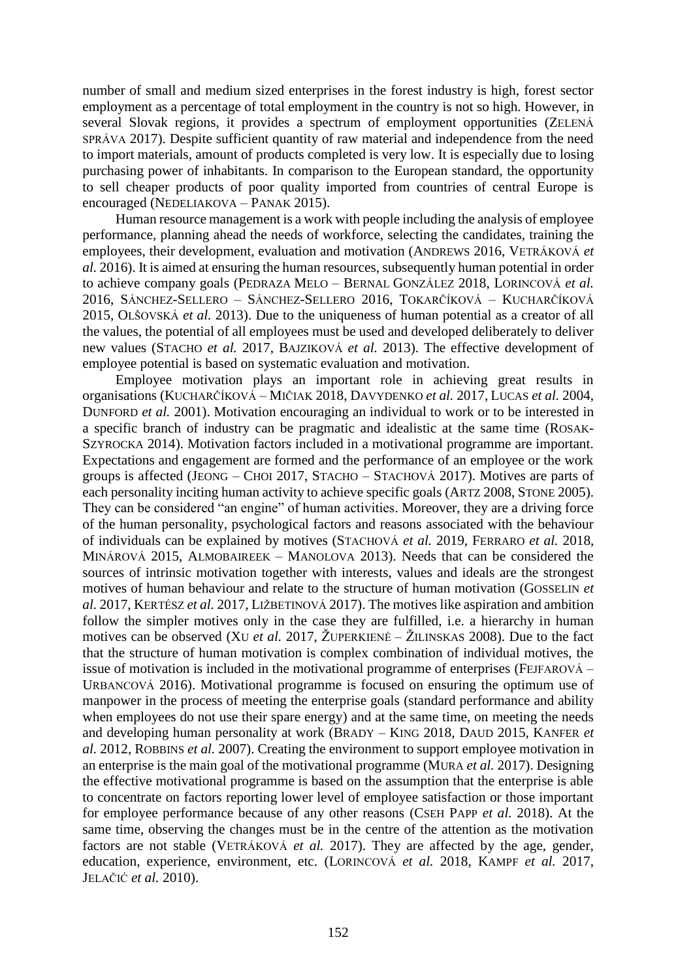number of small and medium sized enterprises in the forest industry is high, forest sector employment as a percentage of total employment in the country is not so high. However, in several Slovak regions, it provides a spectrum of employment opportunities (ZELENÁ SPRÁVA 2017). Despite sufficient quantity of raw material and independence from the need to import materials, amount of products completed is very low. It is especially due to losing purchasing power of inhabitants. In comparison to the European standard, the opportunity to sell cheaper products of poor quality imported from countries of central Europe is encouraged (NEDELIAKOVA – PANAK 2015).

Human resource management is a work with people including the analysis of employee performance, planning ahead the needs of workforce, selecting the candidates, training the employees, their development, evaluation and motivation (ANDREWS 2016, VETRÁKOVÁ *et al.* 2016). It is aimed at ensuring the human resources, subsequently human potential in order to achieve company goals (PEDRAZA MELO – BERNAL GONZÁLEZ 2018, LORINCOVÁ *et al.* 2016, SÁNCHEZ-SELLERO – SÁNCHEZ-SELLERO 2016, TOKARČÍKOVÁ – KUCHARČÍKOVÁ 2015, OLŠOVSKÁ *et al.* 2013). Due to the uniqueness of human potential as a creator of all the values, the potential of all employees must be used and developed deliberately to deliver new values (STACHO *et al.* 2017, BAJZIKOVÁ *et al.* 2013). The effective development of employee potential is based on systematic evaluation and motivation.

Employee motivation plays an important role in achieving great results in organisations (KUCHARČÍKOVÁ – MIČIAK 2018, DAVYDENKO *et al.* 2017, LUCAS *et al.* 2004, DUNFORD *et al.* 2001). Motivation encouraging an individual to work or to be interested in a specific branch of industry can be pragmatic and idealistic at the same time (ROSAK-SZYROCKA 2014). Motivation factors included in a motivational programme are important. Expectations and engagement are formed and the performance of an employee or the work groups is affected (JEONG – CHOI 2017, STACHO – STACHOVÁ 2017). Motives are parts of each personality inciting human activity to achieve specific goals (ARTZ 2008, STONE 2005). They can be considered "an engine" of human activities. Moreover, they are a driving force of the human personality, psychological factors and reasons associated with the behaviour of individuals can be explained by motives (STACHOVÁ *et al.* 2019, FERRARO *et al.* 2018, MINÁROVÁ 2015, ALMOBAIREEK – MANOLOVA 2013). Needs that can be considered the sources of intrinsic motivation together with interests, values and ideals are the strongest motives of human behaviour and relate to the structure of human motivation (GOSSELIN *et al.* 2017, KERTÉSZ *et al.* 2017, LIŽBETINOVÁ 2017). The motives like aspiration and ambition follow the simpler motives only in the case they are fulfilled, i.e. a hierarchy in human motives can be observed (XU *et al.* 2017, ŽUPERKIENĖ – ŽILINSKAS 2008). Due to the fact that the structure of human motivation is complex combination of individual motives, the issue of motivation is included in the motivational programme of enterprises (FEJFAROVÁ – URBANCOVÁ 2016). Motivational programme is focused on ensuring the optimum use of manpower in the process of meeting the enterprise goals (standard performance and ability when employees do not use their spare energy) and at the same time, on meeting the needs and developing human personality at work (BRADY – KING 2018, DAUD 2015, KANFER *et al.* 2012, ROBBINS *et al.* 2007). Creating the environment to support employee motivation in an enterprise is the main goal of the motivational programme (MURA *et al.* 2017). Designing the effective motivational programme is based on the assumption that the enterprise is able to concentrate on factors reporting lower level of employee satisfaction or those important for employee performance because of any other reasons (CSEH PAPP *et al.* 2018). At the same time, observing the changes must be in the centre of the attention as the motivation factors are not stable (VETRÁKOVÁ *et al.* 2017). They are affected by the age, gender, education, experience, environment, etc. (LORINCOVÁ *et al.* 2018, KAMPF *et al.* 2017, JELAČIĆ *et al.* 2010).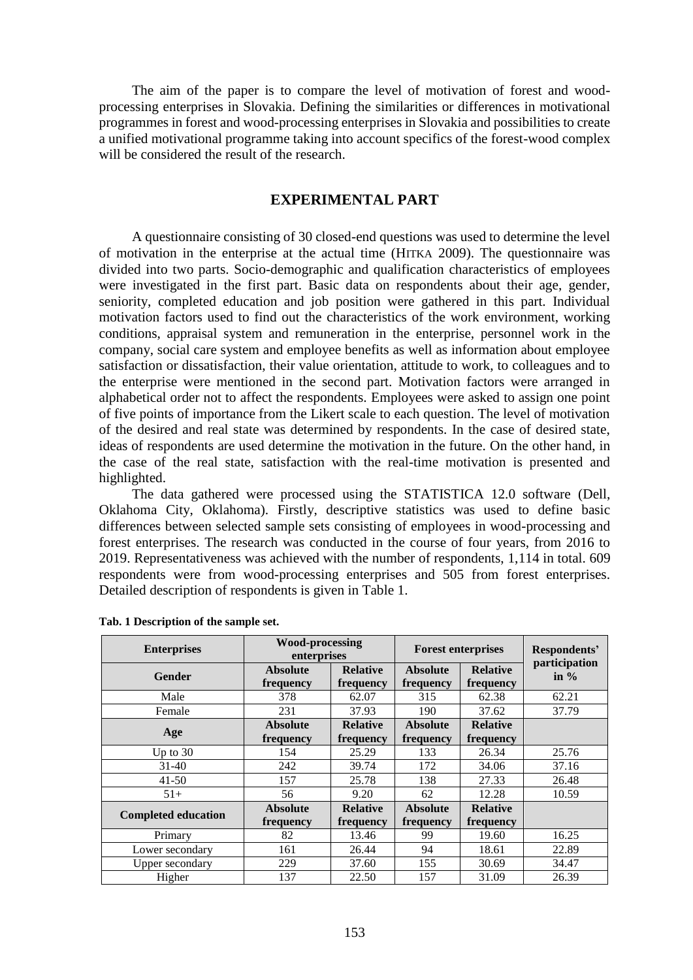The aim of the paper is to compare the level of motivation of forest and woodprocessing enterprises in Slovakia. Defining the similarities or differences in motivational programmes in forest and wood-processing enterprises in Slovakia and possibilities to create a unified motivational programme taking into account specifics of the forest-wood complex will be considered the result of the research.

#### **EXPERIMENTAL PART**

A questionnaire consisting of 30 closed-end questions was used to determine the level of motivation in the enterprise at the actual time (HITKA 2009). The questionnaire was divided into two parts. Socio-demographic and qualification characteristics of employees were investigated in the first part. Basic data on respondents about their age, gender, seniority, completed education and job position were gathered in this part. Individual motivation factors used to find out the characteristics of the work environment, working conditions, appraisal system and remuneration in the enterprise, personnel work in the company, social care system and employee benefits as well as information about employee satisfaction or dissatisfaction, their value orientation, attitude to work, to colleagues and to the enterprise were mentioned in the second part. Motivation factors were arranged in alphabetical order not to affect the respondents. Employees were asked to assign one point of five points of importance from the Likert scale to each question. The level of motivation of the desired and real state was determined by respondents. In the case of desired state, ideas of respondents are used determine the motivation in the future. On the other hand, in the case of the real state, satisfaction with the real-time motivation is presented and highlighted.

The data gathered were processed using the STATISTICA 12.0 software (Dell, Oklahoma City, Oklahoma). Firstly, descriptive statistics was used to define basic differences between selected sample sets consisting of employees in wood-processing and forest enterprises. The research was conducted in the course of four years, from 2016 to 2019. Representativeness was achieved with the number of respondents, 1,114 in total. 609 respondents were from wood-processing enterprises and 505 from forest enterprises. Detailed description of respondents is given in Table 1.

| <b>Enterprises</b>         | <b>Wood-processing</b><br>enterprises |                              | <b>Forest enterprises</b>    | Respondents'<br>participation |         |  |
|----------------------------|---------------------------------------|------------------------------|------------------------------|-------------------------------|---------|--|
| Gender                     | <b>Absolute</b><br>frequency          | <b>Relative</b><br>frequency | <b>Absolute</b><br>frequency | <b>Relative</b><br>frequency  | in $\%$ |  |
| Male                       | 378                                   | 62.07                        | 315                          | 62.38                         | 62.21   |  |
| Female                     | 231                                   | 37.93                        | 190                          | 37.62                         | 37.79   |  |
| Age                        | <b>Absolute</b>                       | <b>Relative</b>              | <b>Absolute</b>              |                               |         |  |
|                            | frequency                             | frequency                    | frequency                    | frequency                     |         |  |
| Up to $30$                 | 154                                   | 25.29                        | 133                          | 26.34                         | 25.76   |  |
| $31 - 40$                  | 242                                   | 39.74                        | 172                          | 34.06                         | 37.16   |  |
| $41 - 50$                  | 157                                   | 25.78                        | 138                          | 27.33                         | 26.48   |  |
| $51+$                      | 56                                    | 9.20                         | 12.28<br>62                  |                               | 10.59   |  |
| <b>Completed education</b> | <b>Absolute</b>                       | <b>Relative</b>              | <b>Absolute</b>              | <b>Relative</b>               |         |  |
|                            | frequency                             | frequency                    | frequency                    | frequency                     |         |  |
| Primary                    | 82                                    | 13.46                        | 99                           | 19.60                         | 16.25   |  |
| Lower secondary            | 161                                   | 26.44                        | 94                           | 18.61                         | 22.89   |  |
| Upper secondary            | 229                                   | 37.60                        | 155                          | 30.69                         | 34.47   |  |
| Higher                     | 137                                   | 22.50                        | 157                          | 31.09                         | 26.39   |  |

#### **Tab. 1 Description of the sample set.**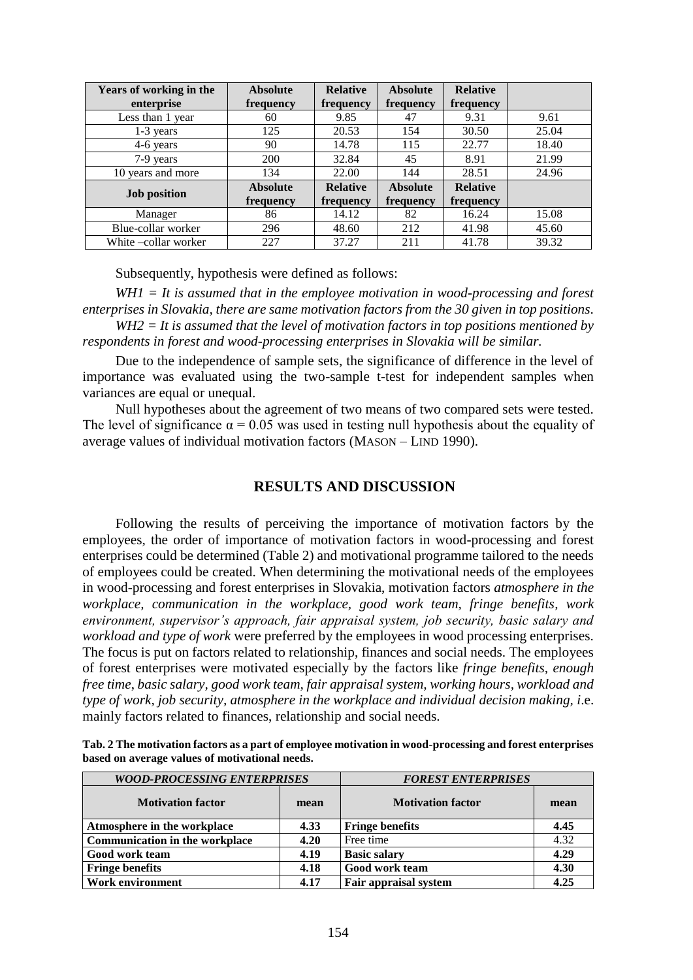| Years of working in the | <b>Absolute</b> | <b>Relative</b> | <b>Absolute</b> | <b>Relative</b> |       |
|-------------------------|-----------------|-----------------|-----------------|-----------------|-------|
| enterprise              | frequency       | frequency       | frequency       | frequency       |       |
| Less than 1 year        | 60              | 9.85            | 47              | 9.31            | 9.61  |
| $1-3$ years             | 125             | 20.53           | 154             | 30.50           | 25.04 |
| 4-6 years               | 90              | 14.78           | 115             | 22.77           | 18.40 |
| 7-9 years               | 200             | 32.84           | 45              | 8.91            | 21.99 |
| 10 years and more       | 134             | 22.00           | 144             | 28.51           | 24.96 |
| <b>Job position</b>     | <b>Absolute</b> | <b>Relative</b> | <b>Absolute</b> | <b>Relative</b> |       |
|                         | frequency       | frequency       | frequency       | frequency       |       |
| Manager                 | 86              | 14.12           | 82              | 16.24           | 15.08 |
| Blue-collar worker      | 296             | 48.60           | 212             | 41.98           | 45.60 |
| White – collar worker   | 227             | 37.27           | 211             | 41.78           | 39.32 |

Subsequently, hypothesis were defined as follows:

*WH1 = It is assumed that in the employee motivation in wood-processing and forest enterprises in Slovakia, there are same motivation factors from the 30 given in top positions. WH2 = It is assumed that the level of motivation factors in top positions mentioned by* 

*respondents in forest and wood-processing enterprises in Slovakia will be similar.*

Due to the independence of sample sets, the significance of difference in the level of importance was evaluated using the two-sample t-test for independent samples when variances are equal or unequal.

Null hypotheses about the agreement of two means of two compared sets were tested. The level of significance  $\alpha = 0.05$  was used in testing null hypothesis about the equality of average values of individual motivation factors (MASON – LIND 1990).

#### **RESULTS AND DISCUSSION**

Following the results of perceiving the importance of motivation factors by the employees, the order of importance of motivation factors in wood-processing and forest enterprises could be determined (Table 2) and motivational programme tailored to the needs of employees could be created. When determining the motivational needs of the employees in wood-processing and forest enterprises in Slovakia, motivation factors *atmosphere in the workplace, communication in the workplace, good work team, fringe benefits, work environment, supervisor's approach, fair appraisal system, job security, basic salary and workload and type of work* were preferred by the employees in wood processing enterprises. The focus is put on factors related to relationship, finances and social needs. The employees of forest enterprises were motivated especially by the factors like *fringe benefits, enough free time*, *basic salary, good work team, fair appraisal system, working hours, workload and type of work, job security, atmosphere in the workplace and individual decision making, i*.e. mainly factors related to finances, relationship and social needs.

| Tab. 2 The motivation factors as a part of employee motivation in wood-processing and forest enterprises |
|----------------------------------------------------------------------------------------------------------|
| based on average values of motivational needs.                                                           |

| <b>WOOD-PROCESSING ENTERPRISES</b>    |      | <b>FOREST ENTERPRISES</b> |      |  |  |
|---------------------------------------|------|---------------------------|------|--|--|
| <b>Motivation factor</b><br>mean      |      | <b>Motivation factor</b>  | mean |  |  |
| Atmosphere in the workplace           | 4.33 | <b>Fringe benefits</b>    | 4.45 |  |  |
| <b>Communication in the workplace</b> | 4.20 | Free time                 | 4.32 |  |  |
| Good work team                        | 4.19 | <b>Basic salary</b>       | 4.29 |  |  |
| <b>Fringe benefits</b>                | 4.18 | Good work team            | 4.30 |  |  |
| Work environment                      | 4.17 | Fair appraisal system     | 4.25 |  |  |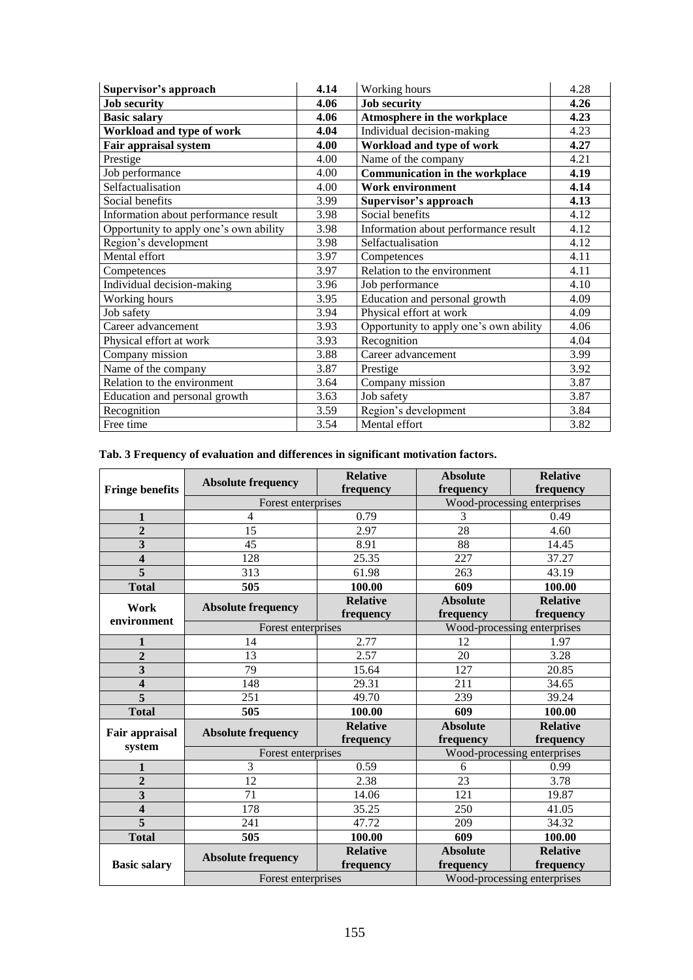| Supervisor's approach                  | 4.14 | Working hours                          | 4.28 |
|----------------------------------------|------|----------------------------------------|------|
| <b>Job security</b>                    | 4.06 | <b>Job security</b>                    | 4.26 |
| <b>Basic salary</b>                    | 4.06 | Atmosphere in the workplace            | 4.23 |
| Workload and type of work              | 4.04 | Individual decision-making             | 4.23 |
| <b>Fair appraisal system</b>           | 4.00 | Workload and type of work              | 4.27 |
| Prestige                               | 4.00 | Name of the company                    | 4.21 |
| Job performance                        | 4.00 | <b>Communication in the workplace</b>  | 4.19 |
| Selfactualisation                      | 4.00 | <b>Work environment</b>                | 4.14 |
| Social benefits                        | 3.99 | Supervisor's approach                  | 4.13 |
| Information about performance result   | 3.98 | Social benefits                        | 4.12 |
| Opportunity to apply one's own ability | 3.98 | Information about performance result   | 4.12 |
| Region's development                   | 3.98 | Selfactualisation                      | 4.12 |
| Mental effort                          | 3.97 | Competences                            | 4.11 |
| Competences                            | 3.97 | Relation to the environment            | 4.11 |
| Individual decision-making             | 3.96 | Job performance                        | 4.10 |
| Working hours                          | 3.95 | Education and personal growth          | 4.09 |
| Job safety                             | 3.94 | Physical effort at work                | 4.09 |
| Career advancement                     | 3.93 | Opportunity to apply one's own ability | 4.06 |
| Physical effort at work                | 3.93 | Recognition                            | 4.04 |
| Company mission                        | 3.88 | Career advancement                     | 3.99 |
| Name of the company                    | 3.87 | Prestige                               | 3.92 |
| Relation to the environment            | 3.64 | Company mission                        | 3.87 |
| Education and personal growth          | 3.63 | Job safety                             | 3.87 |
| Recognition                            | 3.59 | Region's development                   | 3.84 |
| Free time                              | 3.54 | Mental effort                          | 3.82 |

# **Tab. 3 Frequency of evaluation and differences in significant motivation factors.**

| <b>Fringe benefits</b>  | <b>Absolute frequency</b> | <b>Relative</b><br>frequency | <b>Absolute</b><br>frequency | <b>Relative</b><br>frequency |  |
|-------------------------|---------------------------|------------------------------|------------------------------|------------------------------|--|
|                         | Forest enterprises        |                              |                              | Wood-processing enterprises  |  |
| $\mathbf{1}$            | 4                         | 0.79                         | 3                            | 0.49                         |  |
| $\overline{2}$          | 15                        | 2.97                         | 28                           | 4.60                         |  |
| $\overline{\mathbf{3}}$ | 45                        | 8.91                         | 88                           | 14.45                        |  |
| $\overline{\mathbf{4}}$ | 128                       | 25.35                        | 227                          | 37.27                        |  |
| 5                       | 313                       | 61.98                        | 263                          | 43.19                        |  |
| <b>Total</b>            | 505                       | 100.00                       | 609                          | 100.00                       |  |
| Work                    |                           | <b>Relative</b>              | <b>Absolute</b>              | <b>Relative</b>              |  |
| environment             | <b>Absolute frequency</b> | frequency                    | frequency                    | frequency                    |  |
|                         | Forest enterprises        |                              |                              | Wood-processing enterprises  |  |
| $\mathbf{1}$            | 14                        | 2.77                         | 12                           | 1.97                         |  |
| $\overline{2}$          | 13                        | 2.57                         | 20                           | 3.28                         |  |
| 3                       | 79                        | 15.64                        | 127                          | 20.85                        |  |
| 4                       | 148                       | 29.31                        | 211                          | 34.65                        |  |
| 5                       | 251                       | 49.70                        | 239                          | 39.24                        |  |
| <b>Total</b>            | 505                       | 100.00                       | 609                          | 100.00                       |  |
| Fair appraisal          | <b>Absolute frequency</b> | <b>Relative</b>              | <b>Absolute</b>              | <b>Relative</b>              |  |
| system                  |                           | frequency                    | frequency                    | frequency                    |  |
|                         | Forest enterprises        |                              |                              | Wood-processing enterprises  |  |
| 1                       | 3                         | 0.59                         | 6                            | 0.99                         |  |
| $\overline{2}$          | 12                        | 2.38                         | 23                           | 3.78                         |  |
| $\overline{\mathbf{3}}$ | 71                        | 14.06                        | 121                          | 19.87                        |  |
| 4                       | 178                       | 35.25                        | 250                          | 41.05                        |  |
| 5                       | 241                       | 47.72                        | 209                          | 34.32                        |  |
| <b>Total</b>            | 505                       | 100.00                       | 609                          | 100.00                       |  |
|                         | <b>Absolute frequency</b> | <b>Relative</b>              | <b>Absolute</b>              | <b>Relative</b>              |  |
| <b>Basic salary</b>     |                           | frequency                    | frequency                    | frequency                    |  |
| Forest enterprises      |                           |                              | Wood-processing enterprises  |                              |  |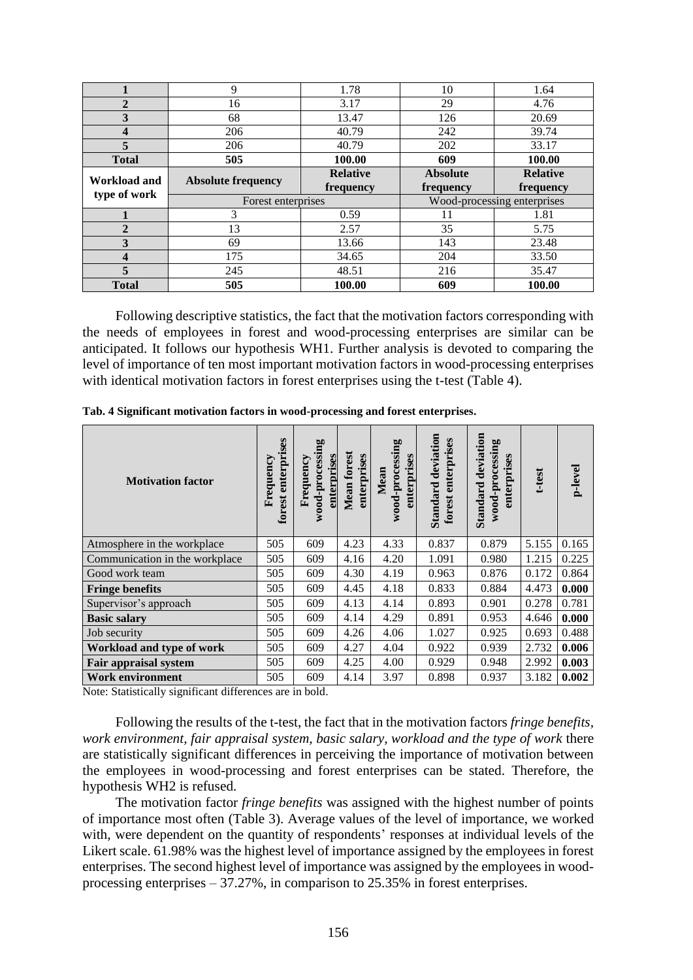|                         | 9                         | 1.78            | 10                          | 1.64            |  |
|-------------------------|---------------------------|-----------------|-----------------------------|-----------------|--|
| $\mathbf 2$             | 16                        | 3.17            | 29                          | 4.76            |  |
| 3                       | 68                        | 13.47           | 126                         | 20.69           |  |
| 4                       | 206                       | 40.79           | 242                         | 39.74           |  |
| 5                       | 206                       | 40.79           | 202                         | 33.17           |  |
| <b>Total</b>            | 505                       | 100.00          | 609                         | 100.00          |  |
| Workload and            |                           | <b>Relative</b> | <b>Absolute</b>             | <b>Relative</b> |  |
|                         | <b>Absolute frequency</b> | frequency       | frequency                   | frequency       |  |
| type of work            | Forest enterprises        |                 | Wood-processing enterprises |                 |  |
|                         | 3                         | 0.59            | 11                          | 1.81            |  |
| $\mathbf{2}$            | 13                        | 2.57            | 35                          | 5.75            |  |
|                         |                           |                 |                             |                 |  |
| 3                       | 69                        | 13.66           | 143                         | 23.48           |  |
| $\overline{\mathbf{4}}$ | 175                       | 34.65           | 204                         | 33.50           |  |
| 5                       | 245                       | 48.51           | 216                         | 35.47           |  |

Following descriptive statistics, the fact that the motivation factors corresponding with the needs of employees in forest and wood-processing enterprises are similar can be anticipated. It follows our hypothesis WH1. Further analysis is devoted to comparing the level of importance of ten most important motivation factors in wood-processing enterprises with identical motivation factors in forest enterprises using the t-test (Table 4).

| <b>Motivation factor</b>       | forest enterprises<br>Frequency | wood-processing<br>enterprises<br>Frequency | Mean forest<br>enterprises | wood-processing<br>enterprises<br>Mean | deviation<br>enterprises<br><b>Standard</b><br>forest | <b>Standard deviation</b><br>wood-processing<br>enterprises | t-test | p-level |
|--------------------------------|---------------------------------|---------------------------------------------|----------------------------|----------------------------------------|-------------------------------------------------------|-------------------------------------------------------------|--------|---------|
| Atmosphere in the workplace    | 505                             | 609                                         | 4.23                       | 4.33                                   | 0.837                                                 | 0.879                                                       | 5.155  | 0.165   |
| Communication in the workplace | 505                             | 609                                         | 4.16                       | 4.20                                   | 1.091                                                 | 0.980                                                       | 1.215  | 0.225   |
| Good work team                 | 505                             | 609                                         | 4.30                       | 4.19                                   | 0.963                                                 | 0.876                                                       | 0.172  | 0.864   |
| <b>Fringe benefits</b>         | 505                             | 609                                         | 4.45                       | 4.18                                   | 0.833                                                 | 0.884                                                       | 4.473  | 0.000   |
| Supervisor's approach          | 505                             | 609                                         | 4.13                       | 4.14                                   | 0.893                                                 | 0.901                                                       | 0.278  | 0.781   |
| <b>Basic salary</b>            | 505                             | 609                                         | 4.14                       | 4.29                                   | 0.891                                                 | 0.953                                                       | 4.646  | 0.000   |
| Job security                   | 505                             | 609                                         | 4.26                       | 4.06                                   | 1.027                                                 | 0.925                                                       | 0.693  | 0.488   |
| Workload and type of work      | 505                             | 609                                         | 4.27                       | 4.04                                   | 0.922                                                 | 0.939                                                       | 2.732  | 0.006   |
| <b>Fair appraisal system</b>   | 505                             | 609                                         | 4.25                       | 4.00                                   | 0.929                                                 | 0.948                                                       | 2.992  | 0.003   |
| Work environment               | 505                             | 609                                         | 4.14                       | 3.97                                   | 0.898                                                 | 0.937                                                       | 3.182  | 0.002   |

**Tab. 4 Significant motivation factors in wood-processing and forest enterprises.**

Note: Statistically significant differences are in bold.

Following the results of the t-test, the fact that in the motivation factors *fringe benefits, work environment, fair appraisal system, basic salary, workload and the type of work* there are statistically significant differences in perceiving the importance of motivation between the employees in wood-processing and forest enterprises can be stated. Therefore, the hypothesis WH2 is refused.

The motivation factor *fringe benefits* was assigned with the highest number of points of importance most often (Table 3). Average values of the level of importance, we worked with, were dependent on the quantity of respondents' responses at individual levels of the Likert scale. 61.98% was the highest level of importance assigned by the employees in forest enterprises. The second highest level of importance was assigned by the employees in woodprocessing enterprises – 37.27%, in comparison to 25.35% in forest enterprises.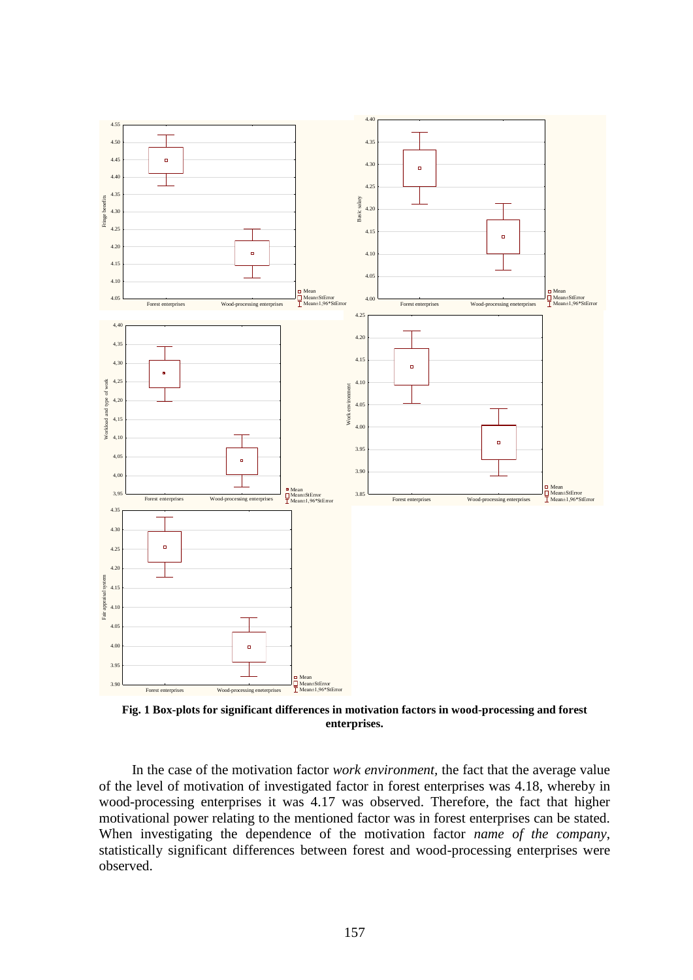

**Fig. 1 Box-plots for significant differences in motivation factors in wood-processing and forest enterprises.**

In the case of the motivation factor *work environment,* the fact that the average value of the level of motivation of investigated factor in forest enterprises was 4.18, whereby in wood-processing enterprises it was 4.17 was observed. Therefore, the fact that higher motivational power relating to the mentioned factor was in forest enterprises can be stated. When investigating the dependence of the motivation factor *name of the company*, statistically significant differences between forest and wood-processing enterprises were observed.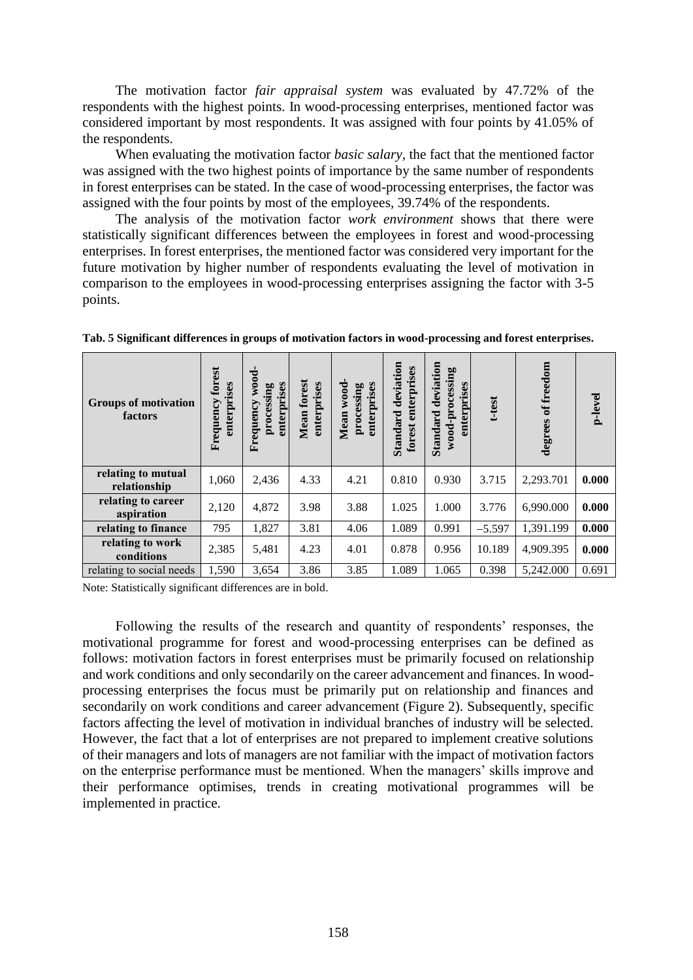The motivation factor *fair appraisal system* was evaluated by 47.72% of the respondents with the highest points. In wood-processing enterprises, mentioned factor was considered important by most respondents. It was assigned with four points by 41.05% of the respondents.

When evaluating the motivation factor *basic salary,* the fact that the mentioned factor was assigned with the two highest points of importance by the same number of respondents in forest enterprises can be stated. In the case of wood-processing enterprises, the factor was assigned with the four points by most of the employees, 39.74% of the respondents.

The analysis of the motivation factor *work environment* shows that there were statistically significant differences between the employees in forest and wood-processing enterprises. In forest enterprises, the mentioned factor was considered very important for the future motivation by higher number of respondents evaluating the level of motivation in comparison to the employees in wood-processing enterprises assigning the factor with 3-5 points.

| <b>Groups of motivation</b><br>factors | forest<br>enterprises<br>Frequency | wood-<br>enterprises<br>processing<br>Frequency | Mean forest<br>enterprises | wood-<br>enterprises<br>processing<br>Mean | Standard deviation<br>forest enterprises | deviation<br>wood-processing<br>enterprises<br>Standard | t-test   | of freedom<br>degrees | p-level |
|----------------------------------------|------------------------------------|-------------------------------------------------|----------------------------|--------------------------------------------|------------------------------------------|---------------------------------------------------------|----------|-----------------------|---------|
| relating to mutual<br>relationship     | 1,060                              | 2,436                                           | 4.33                       | 4.21                                       | 0.810                                    | 0.930                                                   | 3.715    | 2,293.701             | 0.000   |
| relating to career<br>aspiration       | 2,120                              | 4,872                                           | 3.98                       | 3.88                                       | 1.025                                    | 1.000                                                   | 3.776    | 6,990.000             | 0.000   |
| relating to finance                    | 795                                | 1,827                                           | 3.81                       | 4.06                                       | 1.089                                    | 0.991                                                   | $-5.597$ | 1,391.199             | 0.000   |
| relating to work<br>conditions         | 2,385                              | 5,481                                           | 4.23                       | 4.01                                       | 0.878                                    | 0.956                                                   | 10.189   | 4,909.395             | 0.000   |
| relating to social needs               | 1,590                              | 3,654                                           | 3.86                       | 3.85                                       | 1.089                                    | 1.065                                                   | 0.398    | 5,242.000             | 0.691   |

**Tab. 5 Significant differences in groups of motivation factors in wood-processing and forest enterprises.**

Note: Statistically significant differences are in bold.

Following the results of the research and quantity of respondents' responses, the motivational programme for forest and wood-processing enterprises can be defined as follows: motivation factors in forest enterprises must be primarily focused on relationship and work conditions and only secondarily on the career advancement and finances. In woodprocessing enterprises the focus must be primarily put on relationship and finances and secondarily on work conditions and career advancement (Figure 2). Subsequently, specific factors affecting the level of motivation in individual branches of industry will be selected. However, the fact that a lot of enterprises are not prepared to implement creative solutions of their managers and lots of managers are not familiar with the impact of motivation factors on the enterprise performance must be mentioned. When the managers' skills improve and their performance optimises, trends in creating motivational programmes will be implemented in practice.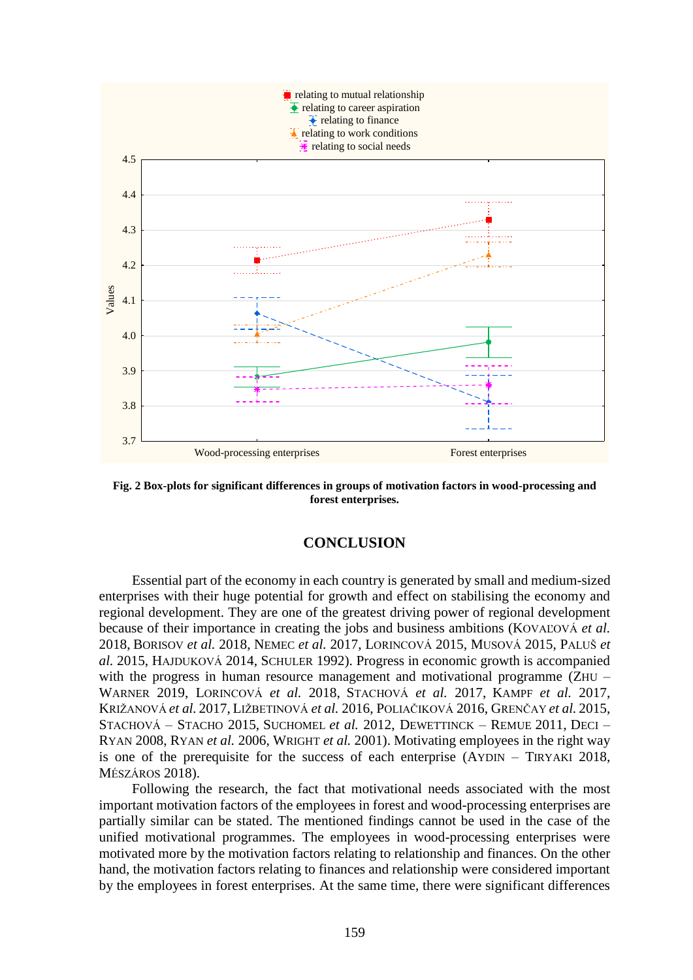

**Fig. 2 Box-plots for significant differences in groups of motivation factors in wood-processing and forest enterprises.**

# **CONCLUSION**

Essential part of the economy in each country is generated by small and medium-sized enterprises with their huge potential for growth and effect on stabilising the economy and regional development. They are one of the greatest driving power of regional development because of their importance in creating the jobs and business ambitions (KOVAĽOVÁ *et al.*) 2018, BORISOV *et al.* 2018, NEMEC *et al.* 2017, LORINCOVÁ 2015, MUSOVÁ 2015, PALUŠ *et al.* 2015, HAJDUKOVÁ 2014, SCHULER 1992). Progress in economic growth is accompanied with the progress in human resource management and motivational programme (ZHU – WARNER 2019, LORINCOVÁ *et al.* 2018, STACHOVÁ *et al.* 2017, KAMPF *et al.* 2017, KRIŽANOVÁ *et al.* 2017, LIŽBETINOVÁ *et al.* 2016, POLIAČIKOVÁ 2016, GRENČAY *et al.* 2015, STACHOVÁ – STACHO 2015, SUCHOMEL *et al.* 2012, DEWETTINCK – REMUE 2011, DECI – RYAN 2008, RYAN *et al.* 2006, WRIGHT *et al.* 2001). Motivating employees in the right way is one of the prerequisite for the success of each enterprise (AYDIN – TIRYAKI 2018, MÉSZÁROS 2018).

Following the research, the fact that motivational needs associated with the most important motivation factors of the employees in forest and wood-processing enterprises are partially similar can be stated. The mentioned findings cannot be used in the case of the unified motivational programmes. The employees in wood-processing enterprises were motivated more by the motivation factors relating to relationship and finances. On the other hand, the motivation factors relating to finances and relationship were considered important by the employees in forest enterprises. At the same time, there were significant differences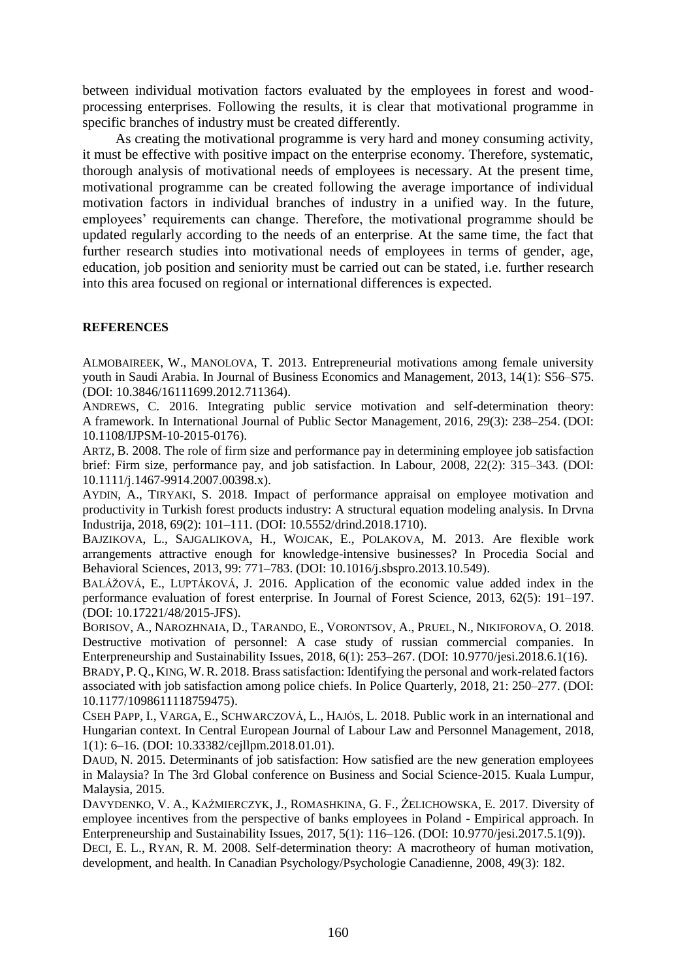between individual motivation factors evaluated by the employees in forest and woodprocessing enterprises. Following the results, it is clear that motivational programme in specific branches of industry must be created differently.

As creating the motivational programme is very hard and money consuming activity, it must be effective with positive impact on the enterprise economy. Therefore, systematic, thorough analysis of motivational needs of employees is necessary. At the present time, motivational programme can be created following the average importance of individual motivation factors in individual branches of industry in a unified way. In the future, employees' requirements can change. Therefore, the motivational programme should be updated regularly according to the needs of an enterprise. At the same time, the fact that further research studies into motivational needs of employees in terms of gender, age, education, job position and seniority must be carried out can be stated, i.e. further research into this area focused on regional or international differences is expected.

#### **REFERENCES**

ALMOBAIREEK, W., MANOLOVA, T. 2013. Entrepreneurial motivations among female university youth in Saudi Arabia. In Journal of Business Economics and Management, 2013, 14(1): S56–S75. (DOI: [10.3846/16111699.2012.711364\)](https://doi.org/10.3846/16111699.2012.711364).

ANDREWS, C. 2016. Integrating public service motivation and self-determination theory: A framework. In International Journal of Public Sector Management, 2016, 29(3): 238–254. (DOI: 10.1108/IJPSM-10-2015-0176).

ARTZ, B. 2008. The role of firm size and performance pay in determining employee job satisfaction brief: Firm size, performance pay, and job satisfaction. In Labour, 2008, 22(2): 315–343. (DOI: 10.1111/j.1467-9914.2007.00398.x).

AYDIN, A., TIRYAKI, S. 2018. Impact of performance appraisal on employee motivation and productivity in Turkish forest products industry: A structural equation modeling analysis. In Drvna Industrija, 2018, 69(2): 101–111. (DOI: 10.5552/drind.2018.1710).

BAJZIKOVA, L., SAJGALIKOVA, H., WOJCAK, E., POLAKOVA, M. 2013. Are flexible work arrangements attractive enough for knowledge-intensive businesses? In Procedia Social and Behavioral Sciences, 2013, 99: 771–783. (DOI: 10.1016/j.sbspro.2013.10.549).

BALÁŽOVÁ, E., LUPTÁKOVÁ, J. 2016. Application of the economic value added index in the performance evaluation of forest enterprise. In Journal of Forest Science, 2013, 62(5): 191–197. (DOI: 10.17221/48/2015-JFS).

BORISOV, A., NAROZHNAIA, D., TARANDO, E., VORONTSOV, A., PRUEL, N., NIKIFOROVA, O. 2018. Destructive motivation of personnel: A case study of russian commercial companies. In Enterpreneurship and Sustainability Issues, 2018, 6(1): 253–267. (DOI: 10.9770/jesi.2018.6.1(16).

BRADY, P. Q., KING, W.R. 2018. Brass satisfaction: Identifying the personal and work-related factors associated with job satisfaction among police chiefs. In Police Quarterly, 2018, 21: 250–277. (DOI: 10.1177/1098611118759475).

CSEH PAPP, I., VARGA, E., SCHWARCZOVÁ, L., HAJÓS, L. 2018. Public work in an international and Hungarian context. In Central European Journal of Labour Law and Personnel Management, 2018, 1(1): 6–16. (DOI: 10.33382/cejllpm.2018.01.01).

DAUD, N. 2015. Determinants of job satisfaction: How satisfied are the new generation employees in Malaysia? In The 3rd Global conference on Business and Social Science-2015. Kuala Lumpur, Malaysia, 2015.

DAVYDENKO, V. A., KAŹMIERCZYK, J., ROMASHKINA, G. F., ŻELICHOWSKA, E. 2017. Diversity of employee incentives from the perspective of banks employees in Poland - Empirical approach. In Enterpreneurship and Sustainability Issues, 2017, 5(1): 116–126. (DOI: 10.9770/jesi.2017.5.1(9)). DECI, E. L., RYAN, R. M. 2008. Self-determination theory: A macrotheory of human motivation,

development, and health. In Canadian Psychology/Psychologie Canadienne, 2008, 49(3): 182.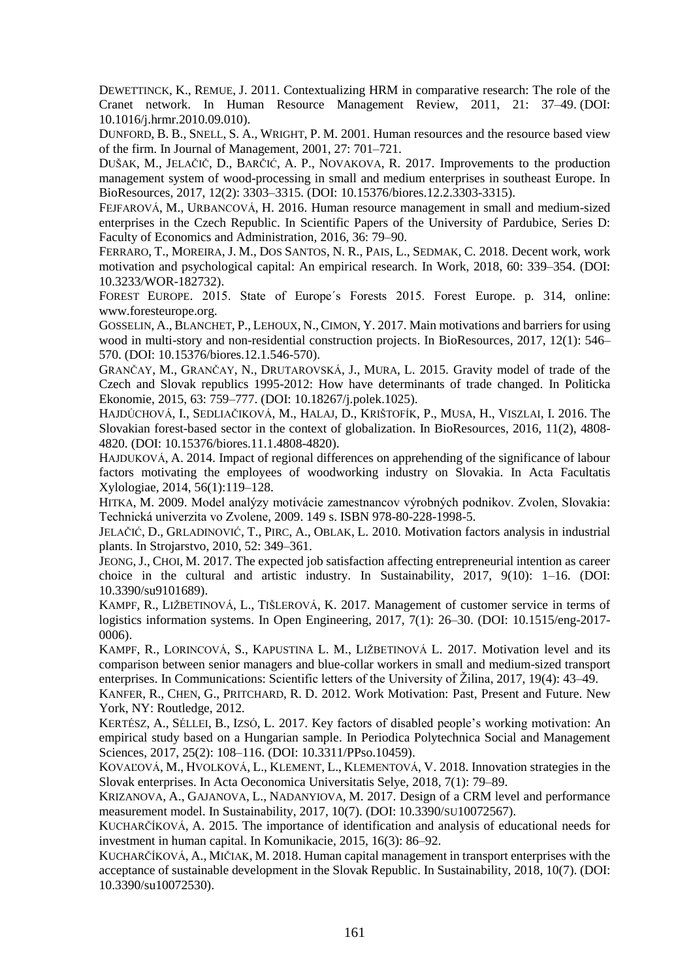DEWETTINCK, K., REMUE, J. 2011. Contextualizing HRM in comparative research: The role of the Cranet network. In Human Resource Management Review, 2011, 21: 37–49. (DOI: 10.1016/j.hrmr.2010.09.010).

DUNFORD, B. B., SNELL, S. A., WRIGHT, P. M. 2001. Human resources and the resource based view of the firm. In Journal of Management, 2001, 27: 701–721.

DUŠAK, M., JELAČIČ, D., BARČIĆ, A. P., NOVAKOVA, R. 2017. Improvements to the production management system of wood-processing in small and medium enterprises in southeast Europe. In BioResources, 2017, 12(2): 3303–3315. (DOI: 10.15376/biores.12.2.3303-3315).

FEJFAROVÁ, M., URBANCOVÁ, H. 2016. Human resource management in small and medium-sized enterprises in the Czech Republic. In Scientific Papers of the University of Pardubice, Series D: Faculty of Economics and Administration, 2016, 36: 79–90.

FERRARO, T., MOREIRA, J. M., DOS SANTOS, N. R., PAIS, L., SEDMAK, C. 2018. Decent work, work motivation and psychological capital: An empirical research. In Work, 2018, 60: 339–354. (DOI: 10.3233/WOR-182732).

FOREST EUROPE. 2015. State of Europe´s Forests 2015. Forest Europe. p. 314, online: www.foresteurope.org.

GOSSELIN, A., BLANCHET, P., LEHOUX, N.,CIMON, Y. 2017. Main motivations and barriers for using wood in multi-story and non-residential construction projects. In BioResources, 2017, 12(1): 546– 570. (DOI: 10.15376/biores.12.1.546-570).

GRANČAY, M., GRANČAY, N., DRUTAROVSKÁ, J., MURA, L. 2015. Gravity model of trade of the Czech and Slovak republics 1995-2012: How have determinants of trade changed. In Politicka Ekonomie, 2015, 63: 759–777. (DOI: 10.18267/j.polek.1025).

HAJDÚCHOVÁ, I., SEDLIAČIKOVÁ, M., HALAJ, D., KRIŠTOFÍK, P., MUSA, H., VISZLAI, I. 2016. The Slovakian forest-based sector in the context of globalization. In BioResources, 2016, 11(2), 4808- 4820. (DOI: 10.15376/biores.11.1.4808-4820).

H[AJDUKOVÁ](https://www.scopus.com/authid/detail.uri?authorId=55316554400&eid=2-s2.0-84897864936), A. 2014. Impact of regional differences on apprehending of the significance of labour factors motivating the employees of woodworking industry on Slovakia. In Acta Facultatis Xylologiae, 2014, 56(1):119–128.

HITKA, M. 2009. Model analýzy motivácie zamestnancov výrobných podnikov. Zvolen, Slovakia: Technická univerzita vo Zvolene, 2009. 149 s. ISBN 978-80-228-1998-5.

J[ELAČIĆ](https://www.scopus.com/authid/detail.uri?authorId=6508088395&eid=2-s2.0-79952430859), D., G[RLADINOVIĆ](https://www.scopus.com/authid/detail.uri?authorId=23018805500&eid=2-s2.0-79952430859), T., PIRC, [A.,](https://www.scopus.com/authid/detail.uri?authorId=24512513800&eid=2-s2.0-79952430859) O[BLAK](https://www.scopus.com/authid/detail.uri?authorId=18038361800&eid=2-s2.0-79952430859), L. 2010. Motivation factors analysis in industrial plants. In Strojarstvo, 2010, 52: 349–361.

JEONG, J., CHOI, M. 2017. The expected job satisfaction affecting entrepreneurial intention as career choice in the cultural and artistic industry. In Sustainability, 2017, 9(10): 1–16. (DOI: [10.3390/su9101689\)](https://doi.org/10.3390/su9101689).

KAMPF, R., LIŽBETINOVÁ, L., TIŠLEROVÁ, K. 2017. Management of customer service in terms of logistics information systems. In [Open Engineering,](https://www.scopus.com/sourceid/21100375904?origin=recordpage) 2017, 7(1): 26–30. (DOI: [10.1515/eng-2017-](https://doi.org/10.1515/eng-2017-0006) [0006\)](https://doi.org/10.1515/eng-2017-0006).

KAMPF, R., LORINCOVÁ, S., KAPUSTINA L. M., LIŽBETINOVÁ L. 2017. Motivation level and its comparison between senior managers and blue-collar workers in small and medium-sized transport enterprises. In Communications: Scientific letters of the University of Žilina, 2017, 19(4): 43–49.

KANFER, R., CHEN, G., PRITCHARD, R. D. 2012. Work Motivation: Past, Present and Future. New York, NY: Routledge, 2012.

KERTÉSZ, A., SÉLLEI, B., IZSÓ, L. 2017. Key factors of disabled people's working motivation: An empirical study based on a Hungarian sample. In Periodica Polytechnica Social and Management Sciences, 2017, 25(2): 108–116. [\(DOI: 10.3311/PPso.10459\)](https://doi.org/10.3311/PPso.10459).

KOVAĽOVÁ, M., HVOLKOVÁ, L., KLEMENT, L., KLEMENTOVÁ, V. 2018. Innovation strategies in the Slovak enterprises. In Acta Oeconomica Universitatis Selye, 2018, 7(1): 79–89.

K[RIZANOVA](https://www.scopus.com/authid/detail.uri?authorId=8507394200&eid=2-s2.0-85050297635), A., G[AJANOVA](https://www.scopus.com/authid/detail.uri?authorId=57203015019&eid=2-s2.0-85050297635), L., N[ADANYIOVA](https://www.scopus.com/authid/detail.uri?authorId=56028091800&eid=2-s2.0-85050297635), M. 2017. Design of a CRM level and performance measurement model. In Sustainability, 2017, 10(7). (DOI: 10.3390/SU[10072567\)](https://doi.org/10.3390/su10072567).

KUCHARČÍKOVÁ, A. 2015. The importance of identification and analysis of educational needs for investment in human capital. In Komunikacie, 2015, 16(3): 86–92.

KUCHARČÍKOVÁ, A., MIČIAK, M. 2018. Human capital management in transport enterprises with the acceptance of sustainable development in the Slovak Republic. In Sustainability, 2018, 10(7). [\(DOI:](https://doi.org/10.3390/su10072530)  [10.3390/su10072530\)](https://doi.org/10.3390/su10072530).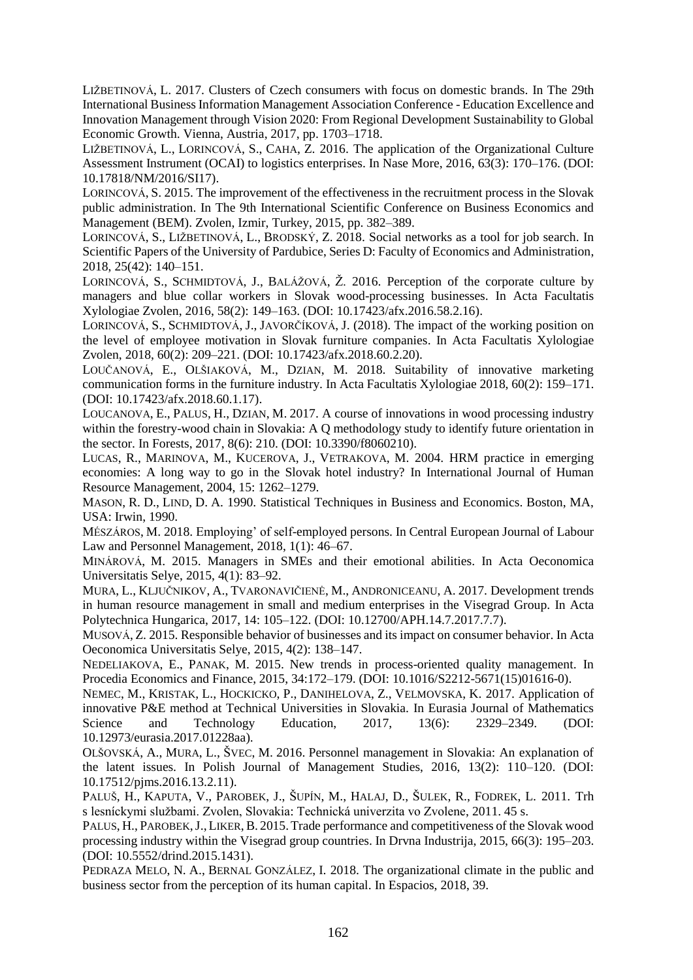LIŽBETINOVÁ, L. 2017. Clusters of Czech consumers with focus on domestic brands. In The 29th International Business Information Management Association Conference - Education Excellence and Innovation Management through Vision 2020: From Regional Development Sustainability to Global Economic Growth. Vienna, Austria, 2017, pp. 1703–1718.

LIŽBETINOVÁ, L., LORINCOVÁ, S., CAHA, Z. 2016. The application of the Organizational Culture Assessment Instrument (OCAI) to logistics enterprises. In Nase More, 2016, 63(3): 170–176. (DOI: 10.17818/NM/2016/SI17).

LORINCOVÁ, S. 2015. The improvement of the effectiveness in the recruitment process in the Slovak public administration. In The 9th International Scientific Conference on Business Economics and Management (BEM). Zvolen, Izmir, Turkey, 2015, pp. 382–389.

LORINCOVÁ, S., LIŽBETINOVÁ, L., BRODSKÝ, Z. 2018. Social networks as a tool for job search. In [Scientific Papers of the University of Pardubice, Series D: Faculty of Economics and Administration,](https://www.scopus.com/sourceid/21100390414?origin=recordpage) 2018, 25(42): 140–151.

LORINCOVÁ, S., SCHMIDTOVÁ, J., BALÁŽOVÁ, Ž. 2016. Perception of the corporate culture by managers and blue collar workers in Slovak wood-processing businesses. In Acta Facultatis Xylologiae Zvolen, 2016, 58(2): 149–163. (DOI: 10.17423/afx.2016.58.2.16).

LORINCOVÁ, S., SCHMIDTOVÁ, J., JAVORČÍKOVÁ, J. (2018). The impact of the working position on the level of employee motivation in Slovak furniture companies. In Acta Facultatis Xylologiae Zvolen, 2018, 60(2): 209–221. (DOI: 10.17423/afx.2018.60.2.20).

L[OUČANOVÁ](https://www.scopus.com/authid/detail.uri?authorId=56105878200&eid=2-s2.0-85045921012), E., O[LŠIAKOVÁ](https://www.scopus.com/authid/detail.uri?authorId=57156537700&eid=2-s2.0-85045921012), M., D[ZIAN](https://www.scopus.com/authid/detail.uri?authorId=57188581940&eid=2-s2.0-85045921012), M. 2018. Suitability of innovative marketing communication forms in the furniture industry. In [Acta Facultatis Xylologiae](https://www.scopus.com/sourceid/7700153234?origin=recordpage) 2018, 60(2): 159–171. (DOI: 10.17423/afx.2018.60.1.17).

LOUCANOVA, E., PALUS, H., DZIAN, M. 2017. A course of innovations in wood processing industry within the forestry-wood chain in Slovakia: A Q methodology study to identify future orientation in the sector. In Forests, 2017, 8(6): 210. (DOI: 10.3390/f8060210).

LUCAS, R., MARINOVA, M., KUCEROVA, J., VETRAKOVA, M. 2004. HRM practice in emerging economies: A long way to go in the Slovak hotel industry? In International Journal of Human Resource Management, 2004, 15: 1262–1279.

MASON, R. D., LIND, D. A. 1990. Statistical Techniques in Business and Economics. Boston, MA, USA: Irwin, 1990.

MÉSZÁROS, M. 2018. Employing' of self-employed persons. In Central European Journal of Labour Law and Personnel Management, 2018, 1(1): 46–67.

MINÁROVÁ, M. 2015. Managers in SMEs and their emotional abilities. In Acta Oeconomica Universitatis Selye, 2015, 4(1): 83–92.

MURA, L., KLJUČNIKOV, A., TVARONAVIČIENĖ, M., ANDRONICEANU, A. 2017. Development trends in human resource management in small and medium enterprises in the Visegrad Group. In Acta Polytechnica Hungarica, 2017, 14: 105–122. (DOI: 10.12700/APH.14.7.2017.7.7).

MUSOVÁ, Z. 2015. Responsible behavior of businesses and its impact on consumer behavior. In Acta Oeconomica Universitatis Selye, 2015, 4(2): 138–147.

N[EDELIAKOVA](https://apps.webofknowledge.com/OutboundService.do?SID=D58COnr7UOAmIFS23Is&mode=rrcAuthorRecordService&action=go&product=WOS&daisIds=2276472), E., P[ANAK](https://apps.webofknowledge.com/OutboundService.do?SID=D58COnr7UOAmIFS23Is&mode=rrcAuthorRecordService&action=go&product=WOS&daisIds=4846546), M. 2015. New trends in process-oriented quality management. In Procedia Economics and Finance, 2015, 34:172–179. (DOI: 10.1016/S2212-5671(15)01616-0).

NEMEC, M., KRISTAK, L., HOCKICKO, P., DANIHELOVA, Z., VELMOVSKA, K. 2017. Application of innovative P&E method at Technical Universities in Slovakia. In Eurasia Journal of Mathematics Science and Technology Education, 2017, 13(6): 2329–2349. (DOI: 10.12973/eurasia.2017.01228aa).

O[LŠOVSKÁ](https://www.scopus.com/authid/detail.uri?authorId=57189246462&eid=2-s2.0-84977557411), A., M[URA](https://www.scopus.com/authid/detail.uri?authorId=36158341600&eid=2-s2.0-84977557411), L., Š[VEC](https://www.scopus.com/authid/detail.uri?authorId=57189231406&eid=2-s2.0-84977557411), M. 2016. Personnel management in Slovakia: An explanation of the latent issues. In Polish Journal of Management Studies, 2016, 13(2): 110–120. (DOI: 10.17512/pjms.2016.13.2.11).

PALUŠ, H., KAPUTA, V., PAROBEK, J., ŠUPÍN, M., HALAJ, D., ŠULEK, R., FODREK, L. 2011. Trh s lesníckymi službami. Zvolen, Slovakia: Technická univerzita vo Zvolene, 2011. 45 s.

PALUS, H., PAROBEK, J., LIKER, B. 2015. Trade performance and competitiveness of the Slovak wood processing industry within the Visegrad group countries. In Drvna Industrija, 2015, 66(3): 195–203. (DOI: 10.5552/drind.2015.1431).

PEDRAZA MELO, N. A., BERNAL GONZÁLEZ, I. 2018. The organizational climate in the public and business sector from the perception of its human capital. In Espacios, 2018, 39.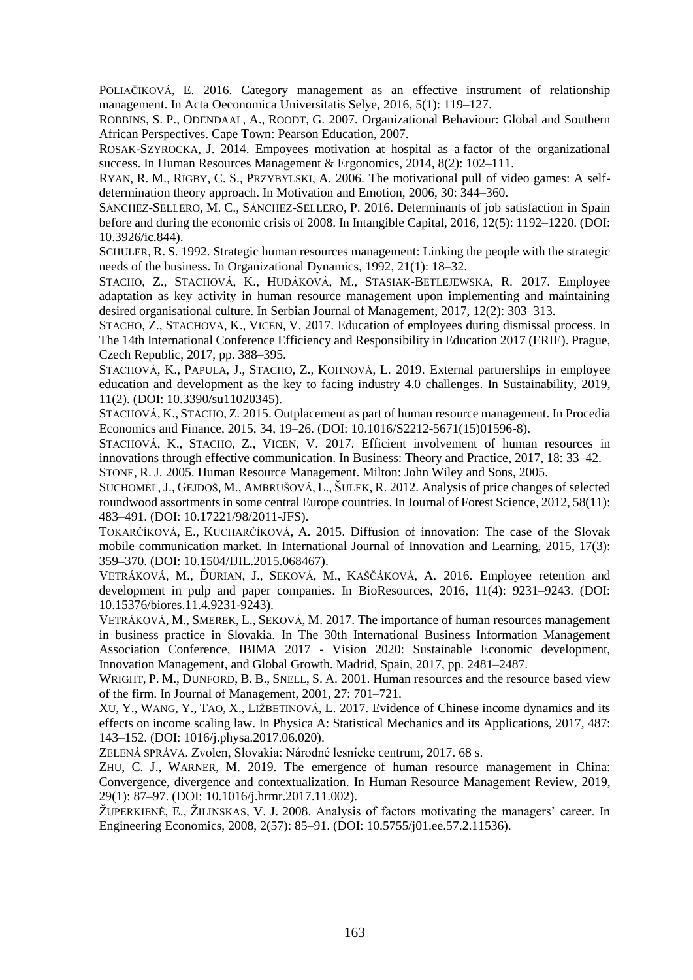POLIAČIKOVÁ, E. 2016. Category management as an effective instrument of relationship management. In Acta Oeconomica Universitatis Selye, 2016, 5(1): 119–127.

ROBBINS, S. P., ODENDAAL, A., ROODT, G. 2007. Organizational Behaviour: Global and Southern African Perspectives. Cape Town: Pearson Education, 2007.

ROSAK-SZYROCKA, J. 2014. Empoyees motivation at hospital as a factor of the organizational success. In Human Resources Management & Ergonomics, 2014, 8(2): 102–111.

RYAN, R. M., RIGBY, C. S., PRZYBYLSKI, A. 2006. The motivational pull of video games: A selfdetermination theory approach. In Motivation and Emotion, 2006, 30: 344–360.

SÁNCHEZ-SELLERO, M. C., SÁNCHEZ-SELLERO, P. 2016. Determinants of job satisfaction in Spain before and during the economic crisis of 2008. In Intangible Capital, 2016, 12(5): 1192–1220. (DOI: [10.3926/ic.844\)](http://dx.doi.org/10.3926/ic.844).

SCHULER, R. S. 1992. Strategic human resources management: Linking the people with the strategic needs of the business. In Organizational Dynamics, 1992, 21(1): 18–32.

STACHO, Z., STACHOVÁ, K., HUDÁKOVÁ, M., STASIAK-BETLEJEWSKA, R. 2017. Employee adaptation as key activity in human resource management upon implementing and maintaining desired organisational culture. In Serbian Journal of Management, 2017, 12(2): 303–313.

STACHO, Z., STACHOVA, K., VICEN, V. 2017. Education of employees during dismissal process. In The 14th International Conference Efficiency and Responsibility in Education 2017 (ERIE). Prague, Czech Republic, 2017, pp. 388–395.

STACHOVÁ, K., PAPULA, J., STACHO, Z., KOHNOVÁ, L. 2019. External partnerships in employee education and development as the key to facing industry 4.0 challenges. In Sustainability, 2019, 11(2). (DOI: 10.3390/su11020345).

STACHOVÁ, K., STACHO, Z. 2015. Outplacement as part of human resource management. In Procedia Economics and Finance, 2015, 34, 19–26. (DOI: [10.1016/S2212-5671\(15\)01596-8\)](https://doi.org/10.1016/S2212-5671(15)01596-8).

STACHOVÁ, K., STACHO, Z., VICEN, V. 2017. Efficient involvement of human resources in innovations through effective communication. In Business: Theory and Practice, 2017, 18: 33–42. STONE, R. J. 2005. Human Resource Management. Milton: John Wiley and Sons, 2005.

SUCHOMEL,J., GEJDOŠ, M., AMBRUŠOVÁ, L., ŠULEK, R. 2012. Analysis of price changes of selected roundwood assortments in some central Europe countries. In Journal of Forest Science, 2012, 58(11): 483–491. (DOI: 10.17221/98/2011-JFS).

T[OKARČÍKOVÁ](https://www.scopus.com/authid/detail.uri?authorId=57097753000&eid=2-s2.0-84926623815), E., K[UCHARČÍKOVÁ](https://www.scopus.com/authid/detail.uri?authorId=56180609200&eid=2-s2.0-84926623815), A. 2015. Diffusion of innovation: The case of the Slovak mobile communication market. In International Journal of Innovation and Learning, 2015, 17(3): 359–370. (DOI: [10.1504/IJIL.2015.068467\)](https://doi.org/10.1504/IJIL.2015.068467).

VETRÁKOVÁ, M., ĎURIAN, J., SEKOVÁ, M., KAŠČÁKOVÁ, A. 2016. Employee retention and development in pulp and paper companies. In BioResources, 2016, 11(4): 9231–9243. (DOI: 10.15376/biores.11.4.9231-9243).

V[ETRÁKOVÁ](https://www.scopus.com/authid/detail.uri?authorId=16205475300&eid=2-s2.0-85048673354), M., S[MEREK](https://www.scopus.com/authid/detail.uri?authorId=57193730454&eid=2-s2.0-85048673354), L., S[EKOVÁ](https://www.scopus.com/authid/detail.uri?authorId=57202532655&eid=2-s2.0-85048673354), M. 2017. The importance of human resources management in business practice in Slovakia. In The 30th International Business Information Management Association Conference, IBIMA 2017 - Vision 2020: Sustainable Economic development, Innovation Management, and Global Growth. Madrid, Spain, 2017, pp. 2481–2487.

WRIGHT, P. M., DUNFORD, B. B., SNELL, S. A. 2001. Human resources and the resource based view of the firm. In Journal of Management, 2001, 27: 701–721.

XU, Y., WANG, Y., TAO, X., LIŽBETINOVÁ, L. 2017. Evidence of Chinese income dynamics and its effects on income scaling law. In Physica A: Statistical Mechanics and its Applications, 2017, 487: 143–152. (DOI: [1016/j.physa.2017.06.020\)](https://doi.org/10.1016/j.physa.2017.06.020).

ZELENÁ SPRÁVA. Zvolen, Slovakia: Národné lesnícke centrum, 2017. 68 s.

ZHU, C. J., WARNER, M. 2019. The emergence of human resource management in China: Convergence, divergence and contextualization. In Human Resource Management Review, 2019, 29(1): 87–97. (DOI: 10.1016/j.hrmr.2017.11.002).

ŽUPERKIENĖ, E., ŽILINSKAS, V. J. 2008. Analysis of factors motivating the managers' career. In Engineering Economics, 2008, 2(57): 85–91. (DOI: [10.5755/j01.ee.57.2.11536\).](https://doi.org/10.5755/j01.ee.57.2.11536)